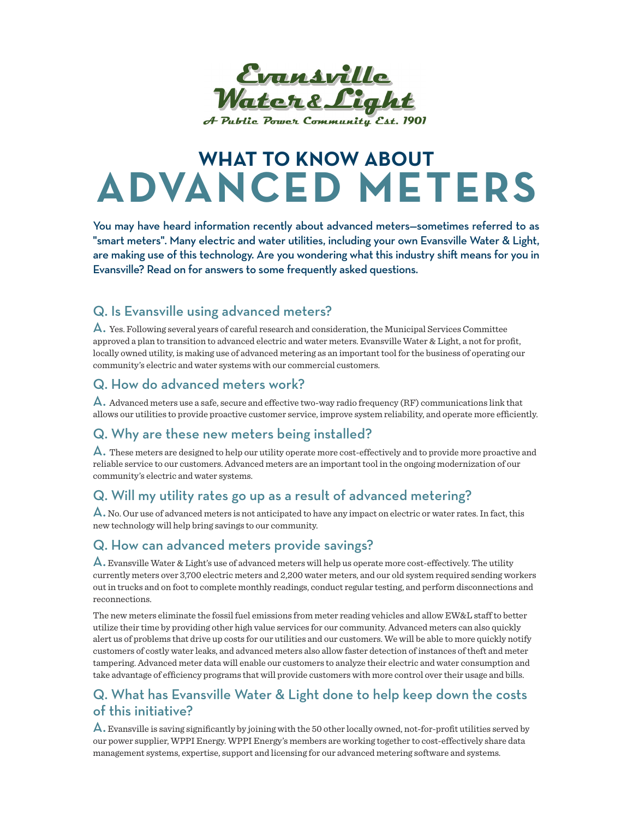

# **WHAT TO KNOW ABOUT ADVANCED METERS**

You may have heard information recently about advanced meters—sometimes referred to as "smart meters". Many electric and water utilities, including your own Evansville Water & Light, are making use of this technology. Are you wondering what this industry shift means for you in Evansville? Read on for answers to some frequently asked questions.

## Q. Is Evansville using advanced meters?

A. Yes. Following several years of careful research and consideration, the Municipal Services Committee approved a plan to transition to advanced electric and water meters. Evansville Water & Light, a not for profit, locally owned utility, is making use of advanced metering as an important tool for the business of operating our community's electric and water systems with our commercial customers.

#### Q. How do advanced meters work?

A. Advanced meters use a safe, secure and effective two-way radio frequency (RF) communications link that allows our utilities to provide proactive customer service, improve system reliability, and operate more efficiently.

# Q. Why are these new meters being installed?

A. These meters are designed to help our utility operate more cost-effectively and to provide more proactive and reliable service to our customers. Advanced meters are an important tool in the ongoing modernization of our community's electric and water systems.

## Q. Will my utility rates go up as a result of advanced metering?

 $\bigwedge$ . No. Our use of advanced meters is not anticipated to have any impact on electric or water rates. In fact, this new technology will help bring savings to our community.

## Q. How can advanced meters provide savings?

 $\bigwedge$ . Evansville Water & Light's use of advanced meters will help us operate more cost-effectively. The utility currently meters over 3,700 electric meters and 2,200 water meters, and our old system required sending workers out in trucks and on foot to complete monthly readings, conduct regular testing, and perform disconnections and reconnections.

The new meters eliminate the fossil fuel emissions from meter reading vehicles and allow EW&L staff to better utilize their time by providing other high value services for our community. Advanced meters can also quickly alert us of problems that drive up costs for our utilities and our customers. We will be able to more quickly notify customers of costly water leaks, and advanced meters also allow faster detection of instances of theft and meter tampering. Advanced meter data will enable our customers to analyze their electric and water consumption and take advantage of efficiency programs that will provide customers with more control over their usage and bills.

## Q. What has Evansville Water & Light done to help keep down the costs of this initiative?

A. Evansville is saving significantly by joining with the 50 other locally owned, not-for-profit utilities served by our power supplier, WPPI Energy. WPPI Energy's members are working together to cost-effectively share data management systems, expertise, support and licensing for our advanced metering software and systems.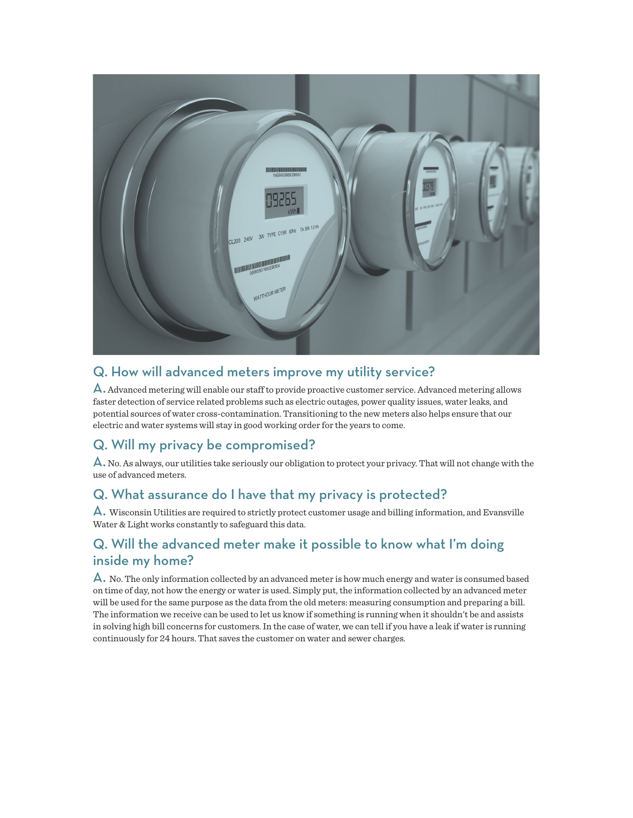

# Q. How will advanced meters improve my utility service?

A. Advanced metering will enable our staff to provide proactive customer service. Advanced metering allows faster detection of service related problems such as electric outages, power quality issues, water leaks, and potential sources of water cross-contamination. Transitioning to the new meters also helps ensure that our electric and water systems will stay in good working order for the years to come.

# Q. Will my privacy be compromised?

 $\mathsf{\Delta}.$  No. As always, our utilities take seriously our obligation to protect your privacy. That will not change with the use of advanced meters.

#### Q. What assurance do I have that my privacy is protected?

A. Wisconsin Utilities are required to strictly protect customer usage and billing information, and Evansville Water & Light works constantly to safeguard this data.

## Q. Will the advanced meter make it possible to know what I'm doing inside my home?

 $\bigwedge$ . No. The only information collected by an advanced meter is how much energy and water is consumed based on time of day, not how the energy or water is used. Simply put, the information collected by an advanced meter will be used for the same purpose as the data from the old meters: measuring consumption and preparing a bill. The information we receive can be used to let us know if something is running when it shouldn't be and assists in solving high bill concerns for customers. In the case of water, we can tell if you have a leak if water is running continuously for 24 hours. That saves the customer on water and sewer charges.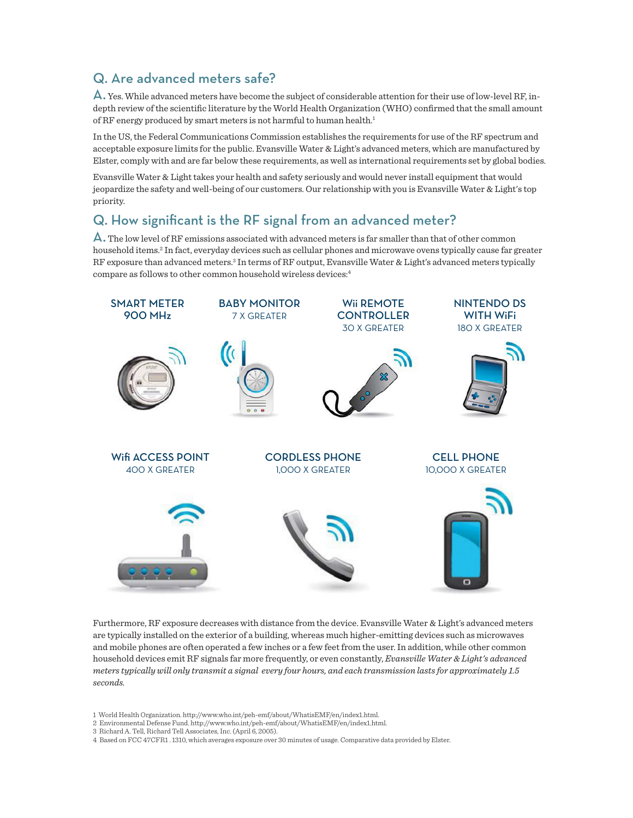# Q. Are advanced meters safe?

A. Yes. While advanced meters have become the subject of considerable attention for their use of low-level RF, indepth review of the scientific literature by the World Health Organization (WHO) confirmed that the small amount of RF energy produced by smart meters is not harmful to human health.<sup>1</sup>

In the US, the Federal Communications Commission establishes the requirements for use of the RF spectrum and acceptable exposure limits for the public. Evansville Water & Light's advanced meters, which are manufactured by Elster, comply with and are far below these requirements, as well as international requirements set by global bodies.

Evansville Water & Light takes your health and safety seriously and would never install equipment that would jeopardize the safety and well-being of our customers. Our relationship with you is Evansville Water & Light's top priority.

#### Q. How significant is the RF signal from an advanced meter?

 $\mathsf A.$  The low level of RF emissions associated with advanced meters is far smaller than that of other common household items.2 In fact, everyday devices such as cellular phones and microwave ovens typically cause far greater RF exposure than advanced meters.<sup>3</sup> In terms of RF output, Evansville Water & Light's advanced meters typically compare as follows to other common household wireless devices:4



Furthermore, RF exposure decreases with distance from the device. Evansville Water & Light's advanced meters are typically installed on the exterior of a building, whereas much higher-emitting devices such as microwaves and mobile phones are often operated a few inches or a few feet from the user. In addition, while other common household devices emit RF signals far more frequently, or even constantly, *Evansville Water & Light's advanced meters typically will only transmit a signal every four hours, and each transmission lasts for approximately 1.5 seconds.*

3 Richard A. Tell, Richard Tell Associates, Inc. (April 6, 2005).

<sup>1</sup> World Health Organization. http://www.who.int/peh-emf/about/WhatisEMF/en/index1.html.

<sup>2</sup> Environmental Defense Fund. http://www.who.int/peh-emf/about/WhatisEMF/en/index1.html.

<sup>4</sup> Based on FCC 47CFR1 . 1310, which averages exposure over 30 minutes of usage. Comparative data provided by Elster.